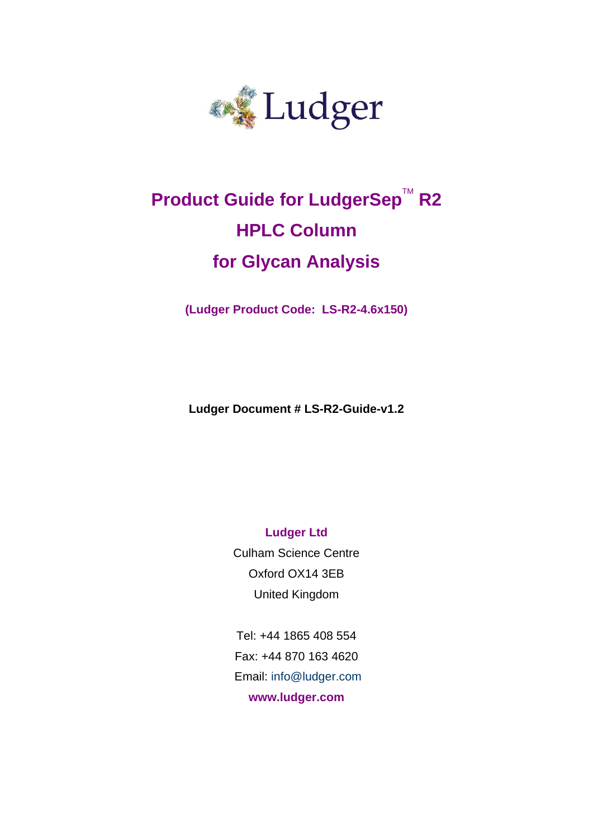

# **Product Guide for LudgerSep™ R2 HPLC Column for Glycan Analysis**

**(Ludger Product Code: LS-R2-4.6x150)**

**Ludger Document # LS-R2-Guide-v1.2**

**Ludger Ltd** Culham Science Centre Oxford OX14 3EB

United Kingdom

Tel: +44 1865 408 554 Fax: +44 870 163 4620 Email: info@ludger.com **www.ludger.com**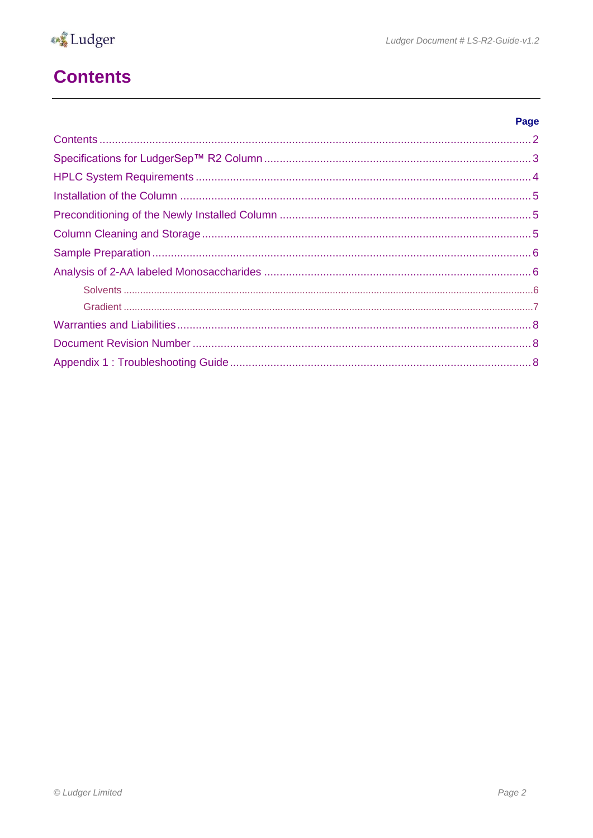

## <span id="page-1-0"></span>**Contents**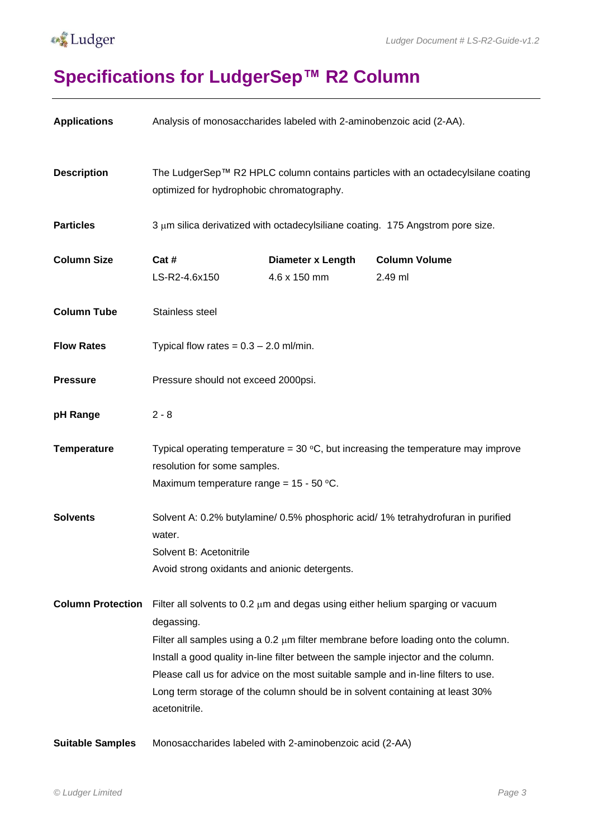

#### **A**Ludger

# <span id="page-2-0"></span>**Specifications for LudgerSep™ R2 Column**

| <b>Applications</b>      | Analysis of monosaccharides labeled with 2-aminobenzoic acid (2-AA).                                                                                                                                                                                                                                                                                                                                                                                              |                                          |                                 |  |  |
|--------------------------|-------------------------------------------------------------------------------------------------------------------------------------------------------------------------------------------------------------------------------------------------------------------------------------------------------------------------------------------------------------------------------------------------------------------------------------------------------------------|------------------------------------------|---------------------------------|--|--|
| <b>Description</b>       | The LudgerSep™ R2 HPLC column contains particles with an octadecylsilane coating<br>optimized for hydrophobic chromatography.                                                                                                                                                                                                                                                                                                                                     |                                          |                                 |  |  |
| <b>Particles</b>         | 3 µm silica derivatized with octadecylsiliane coating. 175 Angstrom pore size.                                                                                                                                                                                                                                                                                                                                                                                    |                                          |                                 |  |  |
| <b>Column Size</b>       | Cat #<br>LS-R2-4.6x150                                                                                                                                                                                                                                                                                                                                                                                                                                            | <b>Diameter x Length</b><br>4.6 x 150 mm | <b>Column Volume</b><br>2.49 ml |  |  |
| <b>Column Tube</b>       | Stainless steel                                                                                                                                                                                                                                                                                                                                                                                                                                                   |                                          |                                 |  |  |
| <b>Flow Rates</b>        | Typical flow rates = $0.3 - 2.0$ ml/min.                                                                                                                                                                                                                                                                                                                                                                                                                          |                                          |                                 |  |  |
| <b>Pressure</b>          | Pressure should not exceed 2000psi.                                                                                                                                                                                                                                                                                                                                                                                                                               |                                          |                                 |  |  |
| pH Range                 | $2 - 8$                                                                                                                                                                                                                                                                                                                                                                                                                                                           |                                          |                                 |  |  |
| <b>Temperature</b>       | Typical operating temperature = $30\text{ °C}$ , but increasing the temperature may improve<br>resolution for some samples.<br>Maximum temperature range = $15 - 50$ °C.                                                                                                                                                                                                                                                                                          |                                          |                                 |  |  |
| <b>Solvents</b>          | Solvent A: 0.2% butylamine/ 0.5% phosphoric acid/ 1% tetrahydrofuran in purified<br>water.<br>Solvent B: Acetonitrile<br>Avoid strong oxidants and anionic detergents.                                                                                                                                                                                                                                                                                            |                                          |                                 |  |  |
| <b>Column Protection</b> | Filter all solvents to 0.2 µm and degas using either helium sparging or vacuum<br>degassing.<br>Filter all samples using a $0.2 \mu m$ filter membrane before loading onto the column.<br>Install a good quality in-line filter between the sample injector and the column.<br>Please call us for advice on the most suitable sample and in-line filters to use.<br>Long term storage of the column should be in solvent containing at least 30%<br>acetonitrile. |                                          |                                 |  |  |
| <b>Suitable Samples</b>  | Monosaccharides labeled with 2-aminobenzoic acid (2-AA)                                                                                                                                                                                                                                                                                                                                                                                                           |                                          |                                 |  |  |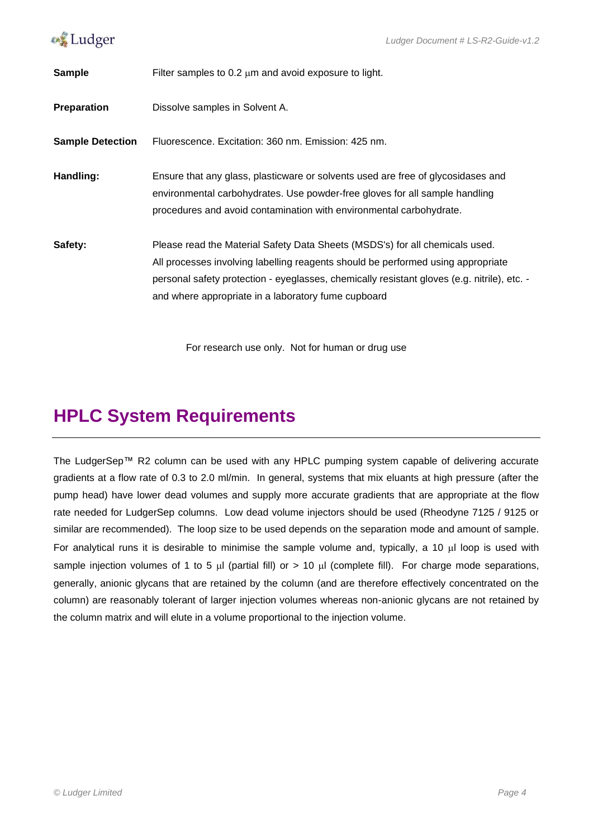

| <b>Sample</b>           | Filter samples to 0.2 $\mu$ m and avoid exposure to light.                                                                                                                                                                                                                                                             |
|-------------------------|------------------------------------------------------------------------------------------------------------------------------------------------------------------------------------------------------------------------------------------------------------------------------------------------------------------------|
| <b>Preparation</b>      | Dissolve samples in Solvent A.                                                                                                                                                                                                                                                                                         |
| <b>Sample Detection</b> | Fluorescence, Excitation: 360 nm, Emission: 425 nm,                                                                                                                                                                                                                                                                    |
| Handling:               | Ensure that any glass, plasticware or solvents used are free of glycosidases and<br>environmental carbohydrates. Use powder-free gloves for all sample handling<br>procedures and avoid contamination with environmental carbohydrate.                                                                                 |
| Safety:                 | Please read the Material Safety Data Sheets (MSDS's) for all chemicals used.<br>All processes involving labelling reagents should be performed using appropriate<br>personal safety protection - eyeglasses, chemically resistant gloves (e.g. nitrile), etc. -<br>and where appropriate in a laboratory fume cupboard |

For research use only. Not for human or drug use

### <span id="page-3-0"></span>**HPLC System Requirements**

The LudgerSep™ R2 column can be used with any HPLC pumping system capable of delivering accurate gradients at a flow rate of 0.3 to 2.0 ml/min. In general, systems that mix eluants at high pressure (after the pump head) have lower dead volumes and supply more accurate gradients that are appropriate at the flow rate needed for LudgerSep columns. Low dead volume injectors should be used (Rheodyne 7125 / 9125 or similar are recommended). The loop size to be used depends on the separation mode and amount of sample. For analytical runs it is desirable to minimise the sample volume and, typically, a 10  $\mu$ l loop is used with sample injection volumes of 1 to 5  $\mu$ l (partial fill) or > 10  $\mu$ l (complete fill). For charge mode separations, generally, anionic glycans that are retained by the column (and are therefore effectively concentrated on the column) are reasonably tolerant of larger injection volumes whereas non-anionic glycans are not retained by the column matrix and will elute in a volume proportional to the injection volume.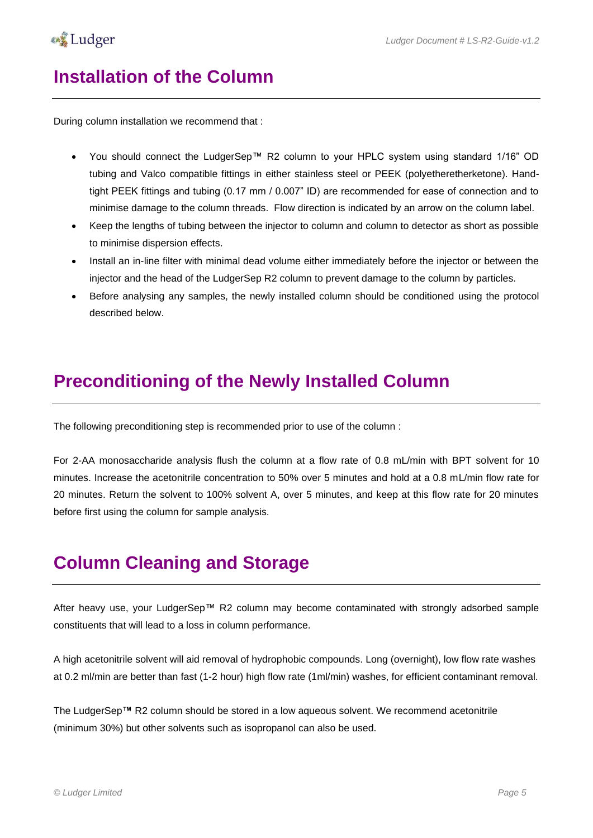#### <span id="page-4-0"></span>**Installation of the Column**

During column installation we recommend that :

- You should connect the LudgerSep™ R2 column to your HPLC system using standard 1/16" OD tubing and Valco compatible fittings in either stainless steel or PEEK (polyetheretherketone). Handtight PEEK fittings and tubing (0.17 mm / 0.007" ID) are recommended for ease of connection and to minimise damage to the column threads. Flow direction is indicated by an arrow on the column label.
- Keep the lengths of tubing between the injector to column and column to detector as short as possible to minimise dispersion effects.
- Install an in-line filter with minimal dead volume either immediately before the injector or between the injector and the head of the LudgerSep R2 column to prevent damage to the column by particles.
- Before analysing any samples, the newly installed column should be conditioned using the protocol described below.

#### <span id="page-4-1"></span>**Preconditioning of the Newly Installed Column**

The following preconditioning step is recommended prior to use of the column :

For 2-AA monosaccharide analysis flush the column at a flow rate of 0.8 mL/min with BPT solvent for 10 minutes. Increase the acetonitrile concentration to 50% over 5 minutes and hold at a 0.8 mL/min flow rate for 20 minutes. Return the solvent to 100% solvent A, over 5 minutes, and keep at this flow rate for 20 minutes before first using the column for sample analysis.

#### <span id="page-4-2"></span>**Column Cleaning and Storage**

After heavy use, your LudgerSep™ R2 column may become contaminated with strongly adsorbed sample constituents that will lead to a loss in column performance.

A high acetonitrile solvent will aid removal of hydrophobic compounds. Long (overnight), low flow rate washes at 0.2 ml/min are better than fast (1-2 hour) high flow rate (1ml/min) washes, for efficient contaminant removal.

The LudgerSep**™** R2 column should be stored in a low aqueous solvent. We recommend acetonitrile (minimum 30%) but other solvents such as isopropanol can also be used.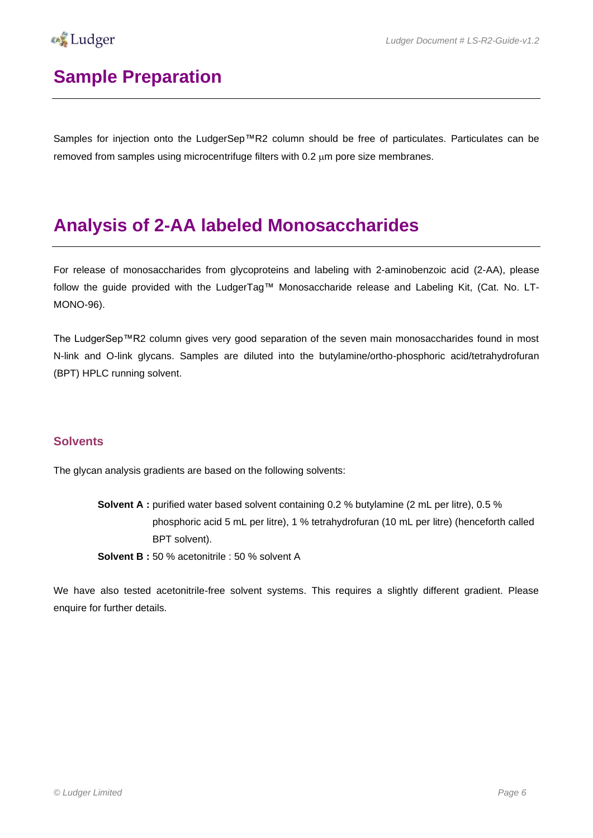

## <span id="page-5-0"></span>**Sample Preparation**

Samples for injection onto the LudgerSep™R2 column should be free of particulates. Particulates can be removed from samples using microcentrifuge filters with  $0.2 \mu m$  pore size membranes.

#### <span id="page-5-1"></span>**Analysis of 2-AA labeled Monosaccharides**

For release of monosaccharides from glycoproteins and labeling with 2-aminobenzoic acid (2-AA), please follow the guide provided with the LudgerTag™ Monosaccharide release and Labeling Kit, (Cat. No. LT-MONO-96).

The LudgerSep™R2 column gives very good separation of the seven main monosaccharides found in most N-link and O-link glycans. Samples are diluted into the butylamine/ortho-phosphoric acid/tetrahydrofuran (BPT) HPLC running solvent.

#### <span id="page-5-2"></span>**Solvents**

The glycan analysis gradients are based on the following solvents:

**Solvent A :** purified water based solvent containing 0.2 % butylamine (2 mL per litre), 0.5 % phosphoric acid 5 mL per litre), 1 % tetrahydrofuran (10 mL per litre) (henceforth called BPT solvent).

**Solvent B :** 50 % acetonitrile : 50 % solvent A

We have also tested acetonitrile-free solvent systems. This requires a slightly different gradient. Please enquire for further details.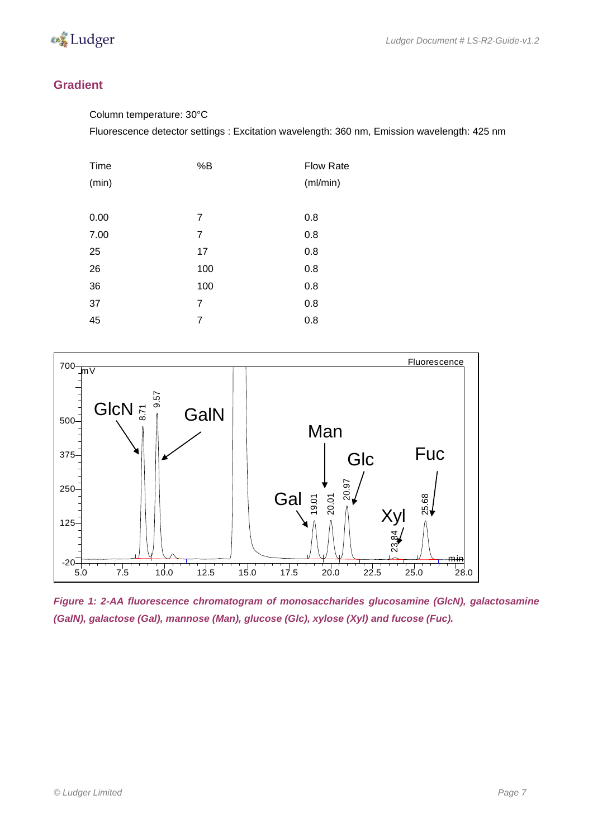

#### <span id="page-6-0"></span>**Gradient**

Column temperature: 30°C

Fluorescence detector settings : Excitation wavelength: 360 nm, Emission wavelength: 425 nm

| Time  | %B  | <b>Flow Rate</b> |
|-------|-----|------------------|
| (min) |     | (ml/min)         |
|       |     |                  |
| 0.00  | 7   | 0.8              |
| 7.00  | 7   | 0.8              |
| 25    | 17  | 0.8              |
| 26    | 100 | 0.8              |
| 36    | 100 | 0.8              |
| 37    | 7   | 0.8              |
| 45    | 7   | 0.8              |
|       |     |                  |



*Figure 1: 2-AA fluorescence chromatogram of monosaccharides glucosamine (GlcN), galactosamine (GalN), galactose (Gal), mannose (Man), glucose (Glc), xylose (Xyl) and fucose (Fuc).*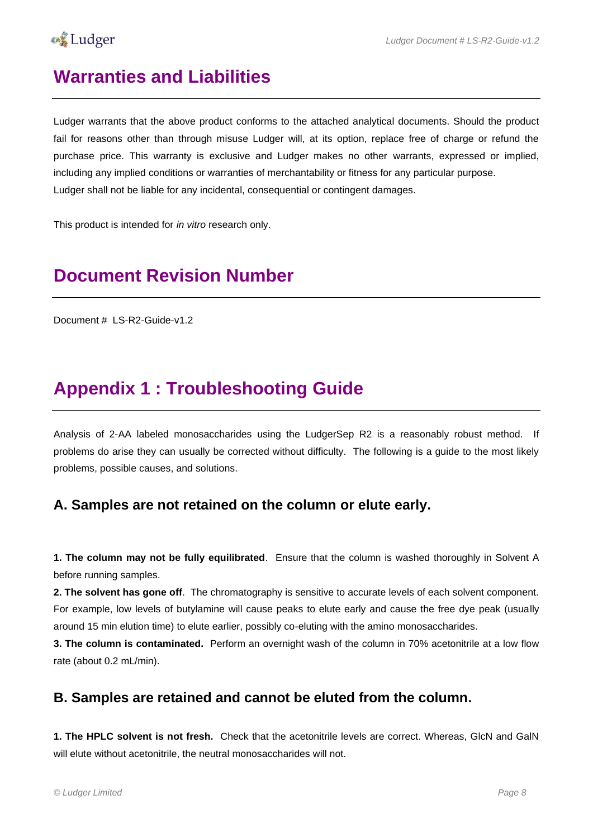

#### <span id="page-7-0"></span>**Warranties and Liabilities**

Ludger warrants that the above product conforms to the attached analytical documents. Should the product fail for reasons other than through misuse Ludger will, at its option, replace free of charge or refund the purchase price. This warranty is exclusive and Ludger makes no other warrants, expressed or implied, including any implied conditions or warranties of merchantability or fitness for any particular purpose. Ludger shall not be liable for any incidental, consequential or contingent damages.

This product is intended for *in vitro* research only.

### <span id="page-7-1"></span>**Document Revision Number**

Document # LS-R2-Guide-v1.2

#### <span id="page-7-2"></span>**Appendix 1 : Troubleshooting Guide**

Analysis of 2-AA labeled monosaccharides using the LudgerSep R2 is a reasonably robust method. If problems do arise they can usually be corrected without difficulty. The following is a guide to the most likely problems, possible causes, and solutions.

#### **A. Samples are not retained on the column or elute early.**

**1. The column may not be fully equilibrated**. Ensure that the column is washed thoroughly in Solvent A before running samples.

**2. The solvent has gone off**. The chromatography is sensitive to accurate levels of each solvent component. For example, low levels of butylamine will cause peaks to elute early and cause the free dye peak (usually around 15 min elution time) to elute earlier, possibly co-eluting with the amino monosaccharides.

**3. The column is contaminated.** Perform an overnight wash of the column in 70% acetonitrile at a low flow rate (about 0.2 mL/min).

#### **B. Samples are retained and cannot be eluted from the column.**

**1. The HPLC solvent is not fresh.** Check that the acetonitrile levels are correct. Whereas, GlcN and GalN will elute without acetonitrile, the neutral monosaccharides will not.